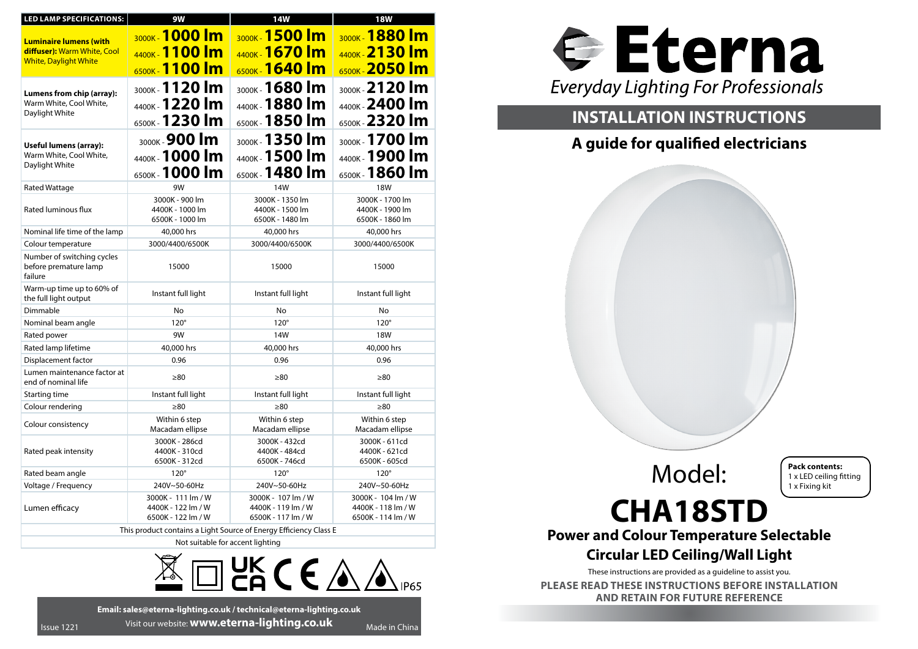| LED LAMP SPECIFICATIONS:                                               | 9W                                                             | 14W                                                            | <b>18W</b>                                                     |  |
|------------------------------------------------------------------------|----------------------------------------------------------------|----------------------------------------------------------------|----------------------------------------------------------------|--|
| <b>Luminaire lumens (with</b><br>diffuser): Warm White, Cool           | 3000K 1000 Im<br>4400K - 1100 m                                | 3000K 1500 m<br>4400K - 1670 Im                                | 3000K 1880 m<br>4400K 2130 m                                   |  |
| <b>White, Daylight White</b>                                           | 6500K - 1100 m                                                 | 6500K <b>1640 Im</b>                                           | 6500K 2050 m                                                   |  |
| Lumens from chip (array):<br>Warm White, Cool White,<br>Daylight White | 3000K - 1120 lm<br>4400K 1220 lm                               | 3000K - 1680 lm<br>4400K - 1880 Im                             | 3000K - 2120 Im<br>4400K 2400 lm                               |  |
|                                                                        | 6500K 1230 Im                                                  | 6500K <b>1850 lm</b>                                           | 6500K - 2320 Im                                                |  |
| Useful lumens (array):<br>Warm White, Cool White,<br>Daylight White    | 3000K - 900 lm<br>4400K 1000 lm<br>6500K - 1000 lm             | 3000K - 1350 lm<br>4400K 1500 lm<br>6500K - 1480 Im            | 3000K - 1700 lm<br>4400K <b>1900 lm</b><br>6500K - 1860 Im     |  |
| <b>Rated Wattage</b>                                                   | 9W                                                             | 14W                                                            | <b>18W</b>                                                     |  |
| Rated luminous flux                                                    | 3000K - 900 lm<br>4400K - 1000 lm<br>6500K - 1000 lm           | 3000K - 1350 lm<br>4400K - 1500 lm<br>6500K - 1480 lm          | 3000K - 1700 lm<br>4400K - 1900 lm<br>6500K - 1860 lm          |  |
| Nominal life time of the lamp                                          | 40,000 hrs                                                     | 40,000 hrs                                                     | 40,000 hrs                                                     |  |
| Colour temperature                                                     | 3000/4400/6500K                                                | 3000/4400/6500K                                                | 3000/4400/6500K                                                |  |
| Number of switching cycles<br>before premature lamp<br>failure         | 15000                                                          | 15000                                                          | 15000                                                          |  |
| Warm-up time up to 60% of<br>the full light output                     | Instant full light                                             | Instant full light                                             | Instant full light                                             |  |
| Dimmable                                                               | No                                                             | No                                                             | No                                                             |  |
| Nominal beam angle                                                     | $120^\circ$                                                    | $120^\circ$                                                    | $120^\circ$                                                    |  |
| Rated power                                                            | 9W                                                             | 14W                                                            | <b>18W</b>                                                     |  |
| Rated lamp lifetime                                                    | 40,000 hrs                                                     | 40,000 hrs                                                     | 40,000 hrs                                                     |  |
| Displacement factor                                                    | 0.96                                                           | 0.96                                                           | 0.96                                                           |  |
| Lumen maintenance factor at<br>end of nominal life                     | $\geq 80$                                                      | $\geq 80$                                                      | $\geq 80$                                                      |  |
| Starting time                                                          | Instant full light                                             | Instant full light                                             | Instant full light                                             |  |
| Colour rendering                                                       | $\geq 80$                                                      | $\geq 80$                                                      | $\geq 80$                                                      |  |
| Colour consistency                                                     | Within 6 step<br>Macadam ellipse                               | Within 6 step<br>Macadam ellipse                               | Within 6 step<br>Macadam ellipse                               |  |
| Rated peak intensity                                                   | 3000K - 286cd<br>4400K - 310cd<br>6500K - 312cd                | 3000K - 432cd<br>4400K - 484cd<br>6500K - 746cd                | 3000K - 611cd<br>4400K - 621cd<br>6500K - 605cd                |  |
| Rated beam angle                                                       | $120^\circ$                                                    | $120^\circ$                                                    | $120^\circ$                                                    |  |
| Voltage / Frequency                                                    | 240V~50-60Hz                                                   | 240V~50-60Hz                                                   | 240V~50-60Hz                                                   |  |
| Lumen efficacy                                                         | 3000K - 111 lm / W<br>4400K - 122 lm / W<br>6500K - 122 lm / W | 3000K - 107 lm / W<br>4400K - 119 lm / W<br>6500K - 117 lm / W | 3000K - 104 lm / W<br>4400K - 118 lm / W<br>6500K - 114 lm / W |  |
| This product contains a Light Source of Energy Efficiency Class E      |                                                                |                                                                |                                                                |  |
| Not suitable for accent lighting                                       |                                                                |                                                                |                                                                |  |
| UK ( $\epsilon$ $\mathbb{A}$<br><b>IP65</b>                            |                                                                |                                                                |                                                                |  |



# **INSTALLATION INSTRUCTIONS**

# **A guide for qualified electricians**

Model:

**Pack contents:** 1 x LED ceiling fitting 1 x Fixing kit

# **CHA18STD**

**Power and Colour Temperature Selectable**

# **Circular LED Ceiling/Wall Light**

These instructions are provided as a guideline to assist you.

**PLEASE READ THESE INSTRUCTIONS BEFORE INSTALLATION AND RETAIN FOR FUTURE REFERENCE**